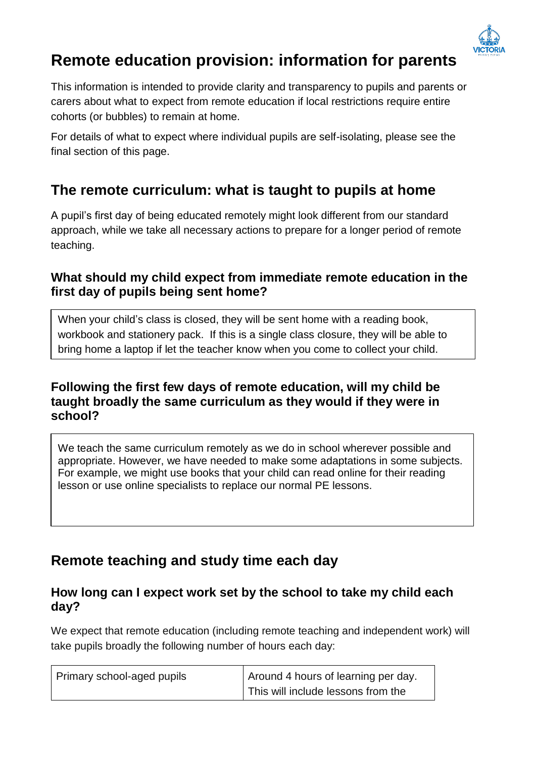

# **Remote education provision: information for parents**

This information is intended to provide clarity and transparency to pupils and parents or carers about what to expect from remote education if local restrictions require entire cohorts (or bubbles) to remain at home.

For details of what to expect where individual pupils are self-isolating, please see the final section of this page.

# **The remote curriculum: what is taught to pupils at home**

A pupil's first day of being educated remotely might look different from our standard approach, while we take all necessary actions to prepare for a longer period of remote teaching.

### **What should my child expect from immediate remote education in the first day of pupils being sent home?**

When your child's class is closed, they will be sent home with a reading book, workbook and stationery pack. If this is a single class closure, they will be able to bring home a laptop if let the teacher know when you come to collect your child.

### **Following the first few days of remote education, will my child be taught broadly the same curriculum as they would if they were in school?**

We teach the same curriculum remotely as we do in school wherever possible and appropriate. However, we have needed to make some adaptations in some subjects. For example, we might use books that your child can read online for their reading lesson or use online specialists to replace our normal PE lessons.

# **Remote teaching and study time each day**

#### **How long can I expect work set by the school to take my child each day?**

We expect that remote education (including remote teaching and independent work) will take pupils broadly the following number of hours each day:

| Primary school-aged pupils | Around 4 hours of learning per day. |
|----------------------------|-------------------------------------|
|                            | This will include lessons from the  |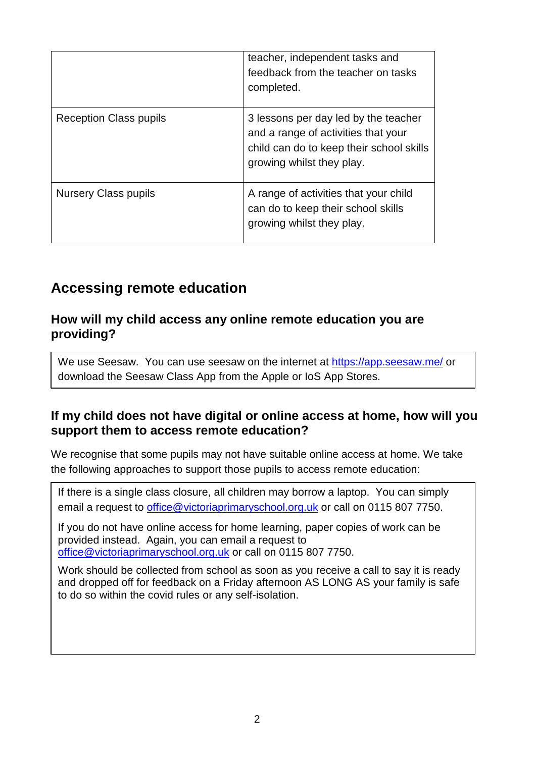|                               | teacher, independent tasks and<br>feedback from the teacher on tasks<br>completed.                                                                   |
|-------------------------------|------------------------------------------------------------------------------------------------------------------------------------------------------|
| <b>Reception Class pupils</b> | 3 lessons per day led by the teacher<br>and a range of activities that your<br>child can do to keep their school skills<br>growing whilst they play. |
| <b>Nursery Class pupils</b>   | A range of activities that your child<br>can do to keep their school skills<br>growing whilst they play.                                             |

### **Accessing remote education**

#### **How will my child access any online remote education you are providing?**

We use Seesaw. You can use seesaw on the internet at<https://app.seesaw.me/> or download the Seesaw Class App from the Apple or IoS App Stores.

### **If my child does not have digital or online access at home, how will you support them to access remote education?**

We recognise that some pupils may not have suitable online access at home. We take the following approaches to support those pupils to access remote education:

If there is a single class closure, all children may borrow a laptop. You can simply email a request to *office@victoriaprimaryschool.org.uk* or call on 0115 807 7750.

If you do not have online access for home learning, paper copies of work can be provided instead. Again, you can email a request to [office@victoriaprimaryschool.org.uk](mailto:office@victoriaprimaryschool.org.uk) or call on 0115 807 7750.

Work should be collected from school as soon as you receive a call to say it is ready and dropped off for feedback on a Friday afternoon AS LONG AS your family is safe to do so within the covid rules or any self-isolation.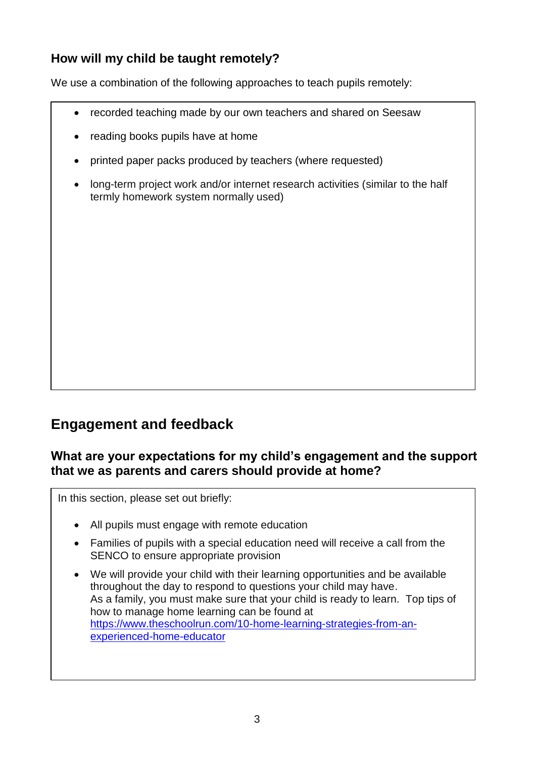### **How will my child be taught remotely?**

We use a combination of the following approaches to teach pupils remotely:

- recorded teaching made by our own teachers and shared on Seesaw
- reading books pupils have at home
- printed paper packs produced by teachers (where requested)
- long-term project work and/or internet research activities (similar to the half termly homework system normally used)

### **Engagement and feedback**

#### **What are your expectations for my child's engagement and the support that we as parents and carers should provide at home?**

In this section, please set out briefly:

- All pupils must engage with remote education
- Families of pupils with a special education need will receive a call from the SENCO to ensure appropriate provision
- We will provide your child with their learning opportunities and be available throughout the day to respond to questions your child may have. As a family, you must make sure that your child is ready to learn. Top tips of how to manage home learning can be found at [https://www.theschoolrun.com/10-home-learning-strategies-from-an](https://www.theschoolrun.com/10-home-learning-strategies-from-an-experienced-home-educator)[experienced-home-educator](https://www.theschoolrun.com/10-home-learning-strategies-from-an-experienced-home-educator)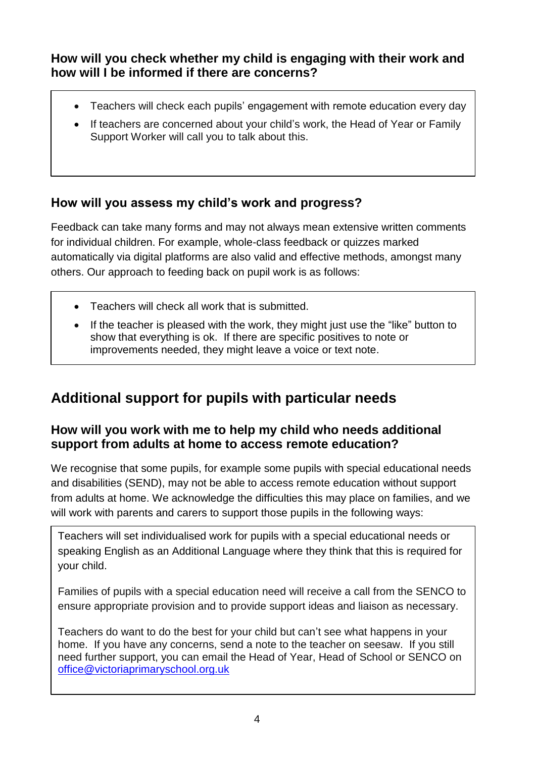**How will you check whether my child is engaging with their work and how will I be informed if there are concerns?**

- Teachers will check each pupils' engagement with remote education every day
- If teachers are concerned about your child's work, the Head of Year or Family Support Worker will call you to talk about this.

### **How will you assess my child's work and progress?**

Feedback can take many forms and may not always mean extensive written comments for individual children. For example, whole-class feedback or quizzes marked automatically via digital platforms are also valid and effective methods, amongst many others. Our approach to feeding back on pupil work is as follows:

- Teachers will check all work that is submitted.
- If the teacher is pleased with the work, they might just use the "like" button to show that everything is ok. If there are specific positives to note or improvements needed, they might leave a voice or text note.

# **Additional support for pupils with particular needs**

### **How will you work with me to help my child who needs additional support from adults at home to access remote education?**

We recognise that some pupils, for example some pupils with special educational needs and disabilities (SEND), may not be able to access remote education without support from adults at home. We acknowledge the difficulties this may place on families, and we will work with parents and carers to support those pupils in the following ways:

Teachers will set individualised work for pupils with a special educational needs or speaking English as an Additional Language where they think that this is required for your child.

Families of pupils with a special education need will receive a call from the SENCO to ensure appropriate provision and to provide support ideas and liaison as necessary.

Teachers do want to do the best for your child but can't see what happens in your home. If you have any concerns, send a note to the teacher on seesaw. If you still need further support, you can email the Head of Year, Head of School or SENCO on [office@victoriaprimaryschool.org.uk](mailto:office@victoriaprimaryschool.org.uk)